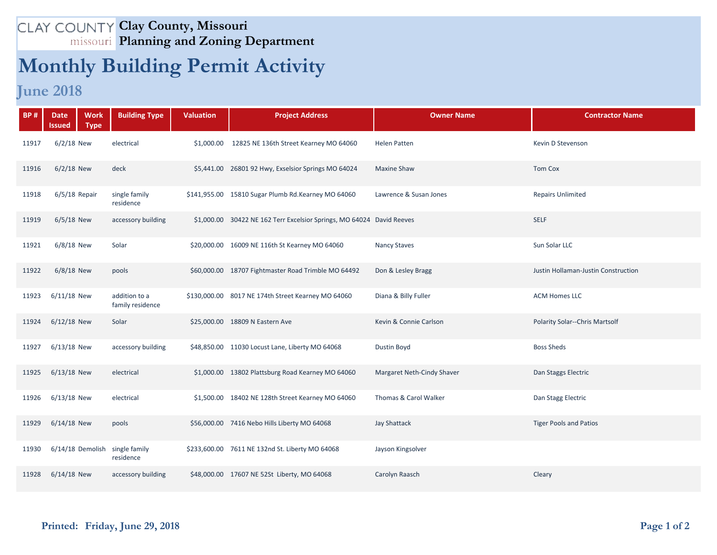## **Clay County, Missouri Planning and Zoning Department**

## **Monthly Building Permit Activity**

## **June 2018**

| <b>BP#</b> | <b>Work</b><br><b>Date</b><br><b>Type</b><br>Issued | <b>Building Type</b>              | <b>Valuation</b> | <b>Project Address</b>                                                | <b>Owner Name</b>          | <b>Contractor Name</b>                |
|------------|-----------------------------------------------------|-----------------------------------|------------------|-----------------------------------------------------------------------|----------------------------|---------------------------------------|
| 11917      | $6/2/18$ New                                        | electrical                        |                  | \$1,000.00 12825 NE 136th Street Kearney MO 64060                     | <b>Helen Patten</b>        | Kevin D Stevenson                     |
| 11916      | $6/2/18$ New                                        | deck                              |                  | \$5,441.00 26801 92 Hwy, Exselsior Springs MO 64024                   | <b>Maxine Shaw</b>         | <b>Tom Cox</b>                        |
| 11918      | 6/5/18 Repair                                       | single family<br>residence        |                  | \$141,955.00 15810 Sugar Plumb Rd.Kearney MO 64060                    | Lawrence & Susan Jones     | <b>Repairs Unlimited</b>              |
| 11919      | $6/5/18$ New                                        | accessory building                |                  | \$1,000.00 30422 NE 162 Terr Excelsior Springs, MO 64024 David Reeves |                            | <b>SELF</b>                           |
| 11921      | $6/8/18$ New                                        | Solar                             |                  | \$20,000.00 16009 NE 116th St Kearney MO 64060                        | <b>Nancy Staves</b>        | Sun Solar LLC                         |
| 11922      | $6/8/18$ New                                        | pools                             |                  | \$60,000.00 18707 Fightmaster Road Trimble MO 64492                   | Don & Lesley Bragg         | Justin Hollaman-Justin Construction   |
| 11923      | $6/11/18$ New                                       | addition to a<br>family residence |                  | \$130,000.00 8017 NE 174th Street Kearney MO 64060                    | Diana & Billy Fuller       | <b>ACM Homes LLC</b>                  |
| 11924      | $6/12/18$ New                                       | Solar                             |                  | \$25,000.00 18809 N Eastern Ave                                       | Kevin & Connie Carlson     | <b>Polarity Solar--Chris Martsolf</b> |
| 11927      | $6/13/18$ New                                       | accessory building                |                  | \$48,850.00 11030 Locust Lane, Liberty MO 64068                       | Dustin Boyd                | <b>Boss Sheds</b>                     |
| 11925      | $6/13/18$ New                                       | electrical                        |                  | \$1,000.00 13802 Plattsburg Road Kearney MO 64060                     | Margaret Neth-Cindy Shaver | Dan Staggs Electric                   |
| 11926      | $6/13/18$ New                                       | electrical                        |                  | \$1,500.00 18402 NE 128th Street Kearney MO 64060                     | Thomas & Carol Walker      | Dan Stagg Electric                    |
| 11929      | $6/14/18$ New                                       | pools                             |                  | \$56,000.00 7416 Nebo Hills Liberty MO 64068                          | <b>Jay Shattack</b>        | <b>Tiger Pools and Patios</b>         |
| 11930      | 6/14/18 Demolish                                    | single family<br>residence        |                  | \$233,600.00 7611 NE 132nd St. Liberty MO 64068                       | Jayson Kingsolver          |                                       |
| 11928      | 6/14/18 New                                         | accessory building                |                  | \$48,000.00 17607 NE 52St Liberty, MO 64068                           | Carolyn Raasch             | Cleary                                |